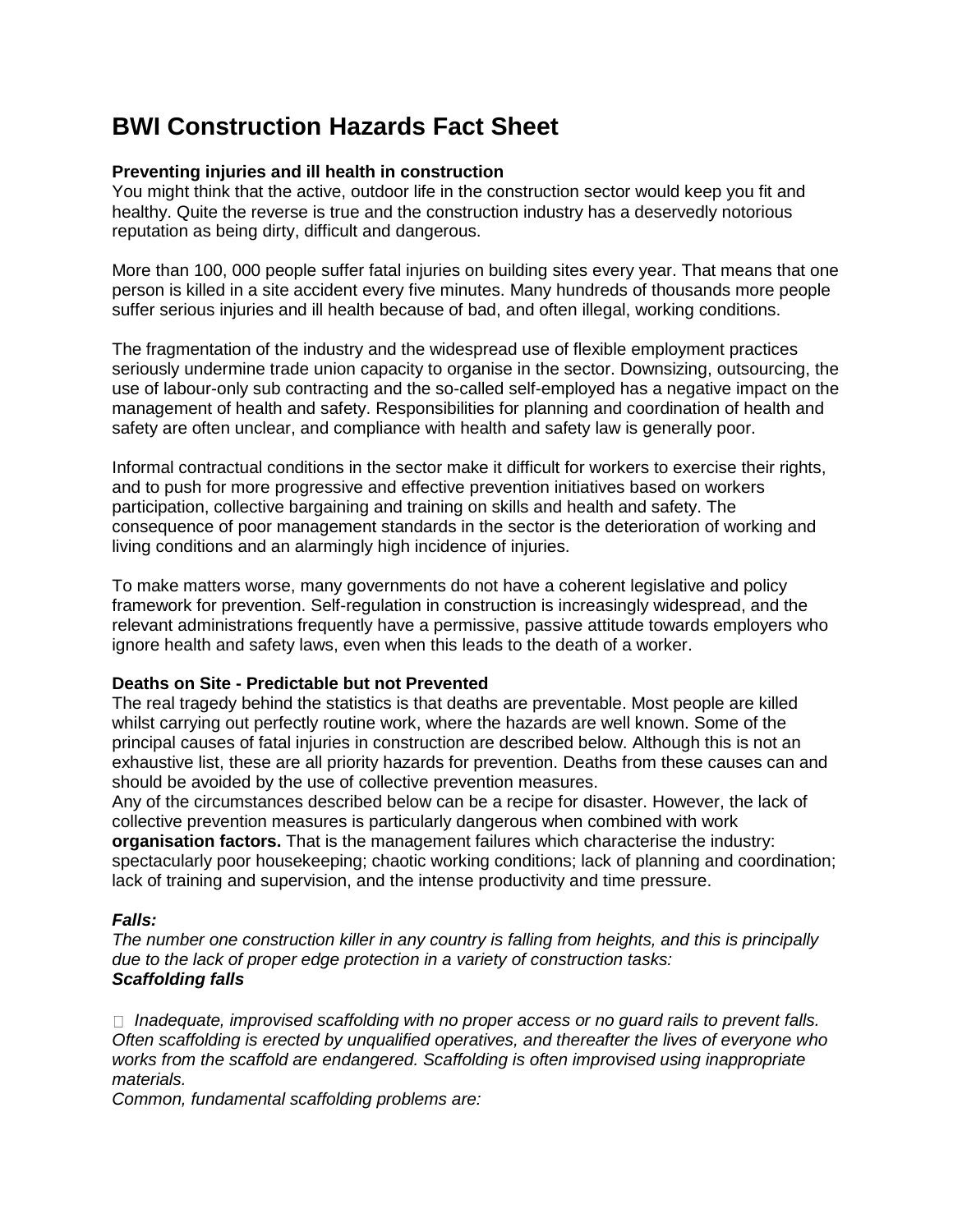# **BWI Construction Hazards Fact Sheet**

## **Preventing injuries and ill health in construction**

You might think that the active, outdoor life in the construction sector would keep you fit and healthy. Quite the reverse is true and the construction industry has a deservedly notorious reputation as being dirty, difficult and dangerous.

More than 100, 000 people suffer fatal injuries on building sites every year. That means that one person is killed in a site accident every five minutes. Many hundreds of thousands more people suffer serious injuries and ill health because of bad, and often illegal, working conditions.

The fragmentation of the industry and the widespread use of flexible employment practices seriously undermine trade union capacity to organise in the sector. Downsizing, outsourcing, the use of labour-only sub contracting and the so-called self-employed has a negative impact on the management of health and safety. Responsibilities for planning and coordination of health and safety are often unclear, and compliance with health and safety law is generally poor.

Informal contractual conditions in the sector make it difficult for workers to exercise their rights, and to push for more progressive and effective prevention initiatives based on workers participation, collective bargaining and training on skills and health and safety. The consequence of poor management standards in the sector is the deterioration of working and living conditions and an alarmingly high incidence of injuries.

To make matters worse, many governments do not have a coherent legislative and policy framework for prevention. Self-regulation in construction is increasingly widespread, and the relevant administrations frequently have a permissive, passive attitude towards employers who ignore health and safety laws, even when this leads to the death of a worker.

## **Deaths on Site - Predictable but not Prevented**

The real tragedy behind the statistics is that deaths are preventable. Most people are killed whilst carrying out perfectly routine work, where the hazards are well known. Some of the principal causes of fatal injuries in construction are described below. Although this is not an exhaustive list, these are all priority hazards for prevention. Deaths from these causes can and should be avoided by the use of collective prevention measures.

Any of the circumstances described below can be a recipe for disaster. However, the lack of collective prevention measures is particularly dangerous when combined with work **organisation factors.** That is the management failures which characterise the industry: spectacularly poor housekeeping; chaotic working conditions; lack of planning and coordination; lack of training and supervision, and the intense productivity and time pressure.

# *Falls:*

*The number one construction killer in any country is falling from heights, and this is principally due to the lack of proper edge protection in a variety of construction tasks: Scaffolding falls*

 *Inadequate, improvised scaffolding with no proper access or no guard rails to prevent falls. Often scaffolding is erected by unqualified operatives, and thereafter the lives of everyone who works from the scaffold are endangered. Scaffolding is often improvised using inappropriate materials.* 

*Common, fundamental scaffolding problems are:*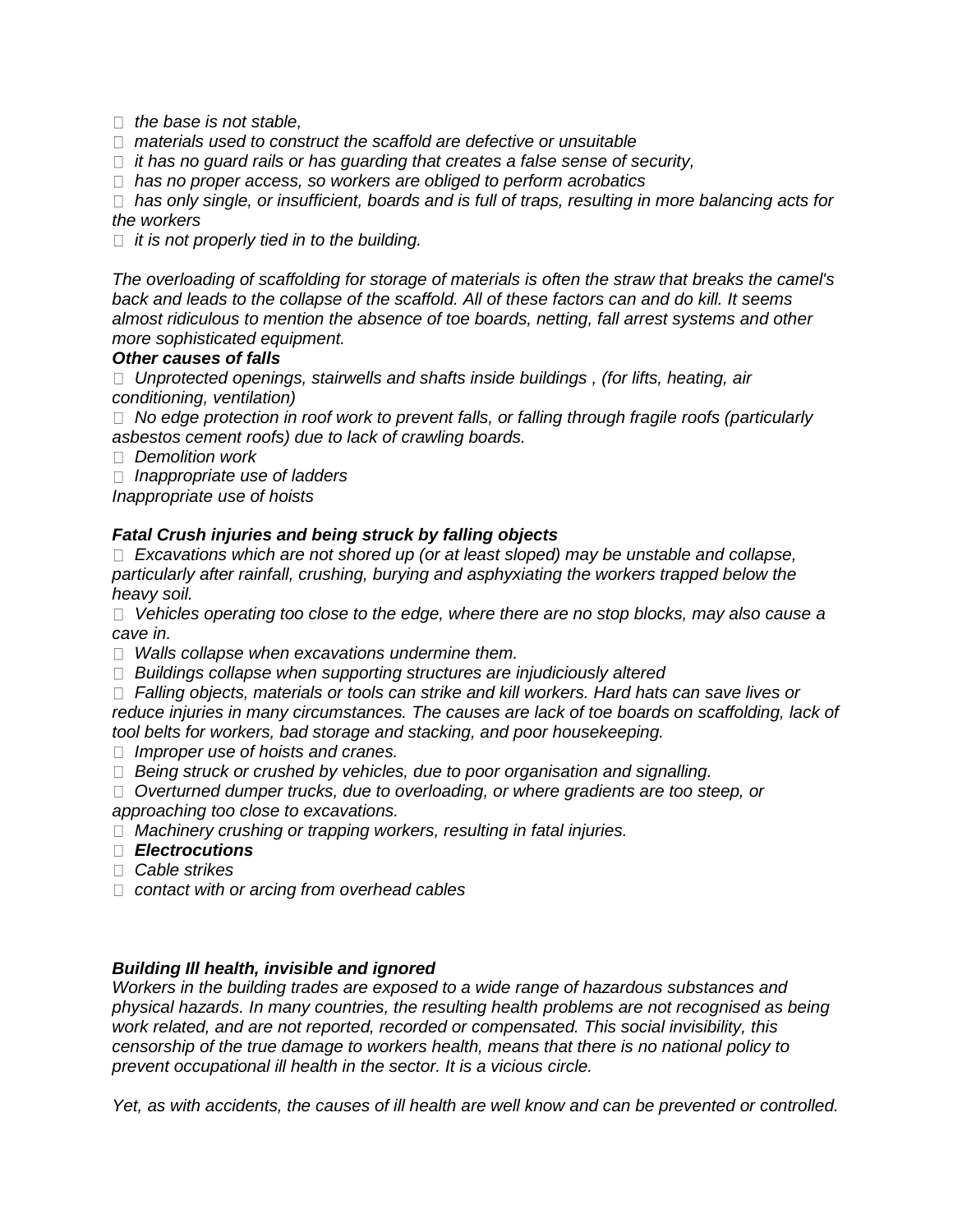*the base is not stable,* 

*materials used to construct the scaffold are defective or unsuitable* 

*it has no guard rails or has guarding that creates a false sense of security,* 

*has no proper access, so workers are obliged to perform acrobatics* 

 *has only single, or insufficient, boards and is full of traps, resulting in more balancing acts for the workers* 

*it is not properly tied in to the building.* 

*The overloading of scaffolding for storage of materials is often the straw that breaks the camel's back and leads to the collapse of the scaffold. All of these factors can and do kill. It seems almost ridiculous to mention the absence of toe boards, netting, fall arrest systems and other more sophisticated equipment.* 

#### *Other causes of falls*

 *Unprotected openings, stairwells and shafts inside buildings , (for lifts, heating, air conditioning, ventilation)* 

 *No edge protection in roof work to prevent falls, or falling through fragile roofs (particularly asbestos cement roofs) due to lack of crawling boards.* 

*Demolition work* 

*Inappropriate use of ladders* 

*Inappropriate use of hoists* 

## *Fatal Crush injuries and being struck by falling objects*

 *Excavations which are not shored up (or at least sloped) may be unstable and collapse, particularly after rainfall, crushing, burying and asphyxiating the workers trapped below the heavy soil.* 

 *Vehicles operating too close to the edge, where there are no stop blocks, may also cause a cave in.* 

*Walls collapse when excavations undermine them.* 

*Buildings collapse when supporting structures are injudiciously altered* 

 *Falling objects, materials or tools can strike and kill workers. Hard hats can save lives or reduce injuries in many circumstances. The causes are lack of toe boards on scaffolding, lack of tool belts for workers, bad storage and stacking, and poor housekeeping.* 

*Improper use of hoists and cranes.* 

*Being struck or crushed by vehicles, due to poor organisation and signalling.* 

 *Overturned dumper trucks, due to overloading, or where gradients are too steep, or approaching too close to excavations.* 

*Machinery crushing or trapping workers, resulting in fatal injuries.* 

- *Electrocutions*
- *Cable strikes*
- *contact with or arcing from overhead cables*

## *Building Ill health, invisible and ignored*

*Workers in the building trades are exposed to a wide range of hazardous substances and physical hazards. In many countries, the resulting health problems are not recognised as being work related, and are not reported, recorded or compensated. This social invisibility, this censorship of the true damage to workers health, means that there is no national policy to prevent occupational ill health in the sector. It is a vicious circle.* 

*Yet, as with accidents, the causes of ill health are well know and can be prevented or controlled.*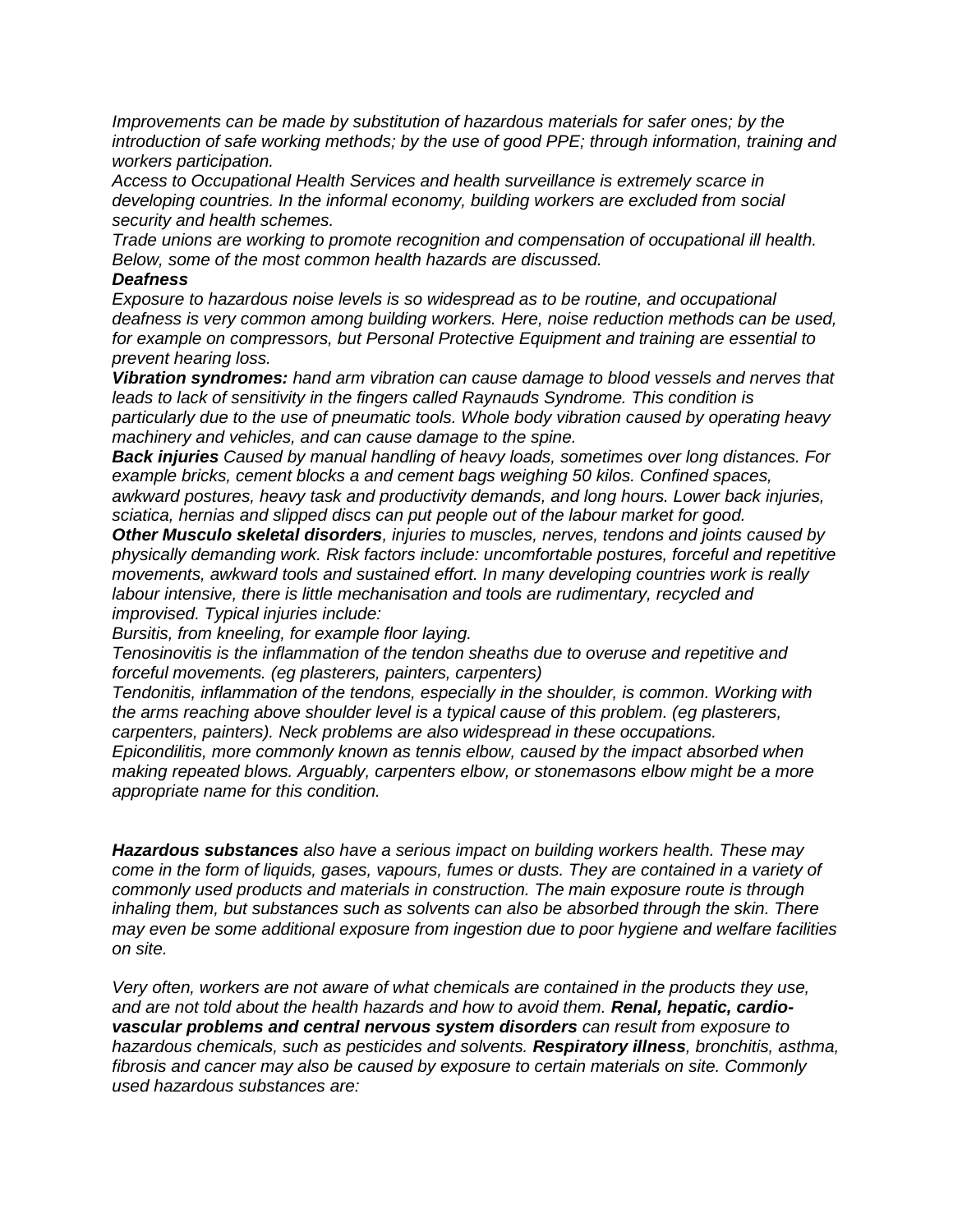*Improvements can be made by substitution of hazardous materials for safer ones; by the introduction of safe working methods; by the use of good PPE; through information, training and workers participation.* 

*Access to Occupational Health Services and health surveillance is extremely scarce in developing countries. In the informal economy, building workers are excluded from social security and health schemes.* 

*Trade unions are working to promote recognition and compensation of occupational ill health. Below, some of the most common health hazards are discussed.* 

#### *Deafness*

*Exposure to hazardous noise levels is so widespread as to be routine, and occupational deafness is very common among building workers. Here, noise reduction methods can be used, for example on compressors, but Personal Protective Equipment and training are essential to prevent hearing loss.* 

*Vibration syndromes: hand arm vibration can cause damage to blood vessels and nerves that leads to lack of sensitivity in the fingers called Raynauds Syndrome. This condition is particularly due to the use of pneumatic tools. Whole body vibration caused by operating heavy machinery and vehicles, and can cause damage to the spine.* 

*Back injuries Caused by manual handling of heavy loads, sometimes over long distances. For example bricks, cement blocks a and cement bags weighing 50 kilos. Confined spaces, awkward postures, heavy task and productivity demands, and long hours. Lower back injuries, sciatica, hernias and slipped discs can put people out of the labour market for good.* 

*Other Musculo skeletal disorders, injuries to muscles, nerves, tendons and joints caused by physically demanding work. Risk factors include: uncomfortable postures, forceful and repetitive movements, awkward tools and sustained effort. In many developing countries work is really labour intensive, there is little mechanisation and tools are rudimentary, recycled and improvised. Typical injuries include:* 

*Bursitis, from kneeling, for example floor laying.* 

*Tenosinovitis is the inflammation of the tendon sheaths due to overuse and repetitive and forceful movements. (eg plasterers, painters, carpenters)* 

*Tendonitis, inflammation of the tendons, especially in the shoulder, is common. Working with the arms reaching above shoulder level is a typical cause of this problem. (eg plasterers, carpenters, painters). Neck problems are also widespread in these occupations. Epicondilitis, more commonly known as tennis elbow, caused by the impact absorbed when making repeated blows. Arguably, carpenters elbow, or stonemasons elbow might be a more appropriate name for this condition.* 

*Hazardous substances also have a serious impact on building workers health. These may come in the form of liquids, gases, vapours, fumes or dusts. They are contained in a variety of commonly used products and materials in construction. The main exposure route is through inhaling them, but substances such as solvents can also be absorbed through the skin. There may even be some additional exposure from ingestion due to poor hygiene and welfare facilities on site.* 

*Very often, workers are not aware of what chemicals are contained in the products they use, and are not told about the health hazards and how to avoid them. Renal, hepatic, cardiovascular problems and central nervous system disorders can result from exposure to hazardous chemicals, such as pesticides and solvents. Respiratory illness, bronchitis, asthma, fibrosis and cancer may also be caused by exposure to certain materials on site. Commonly used hazardous substances are:*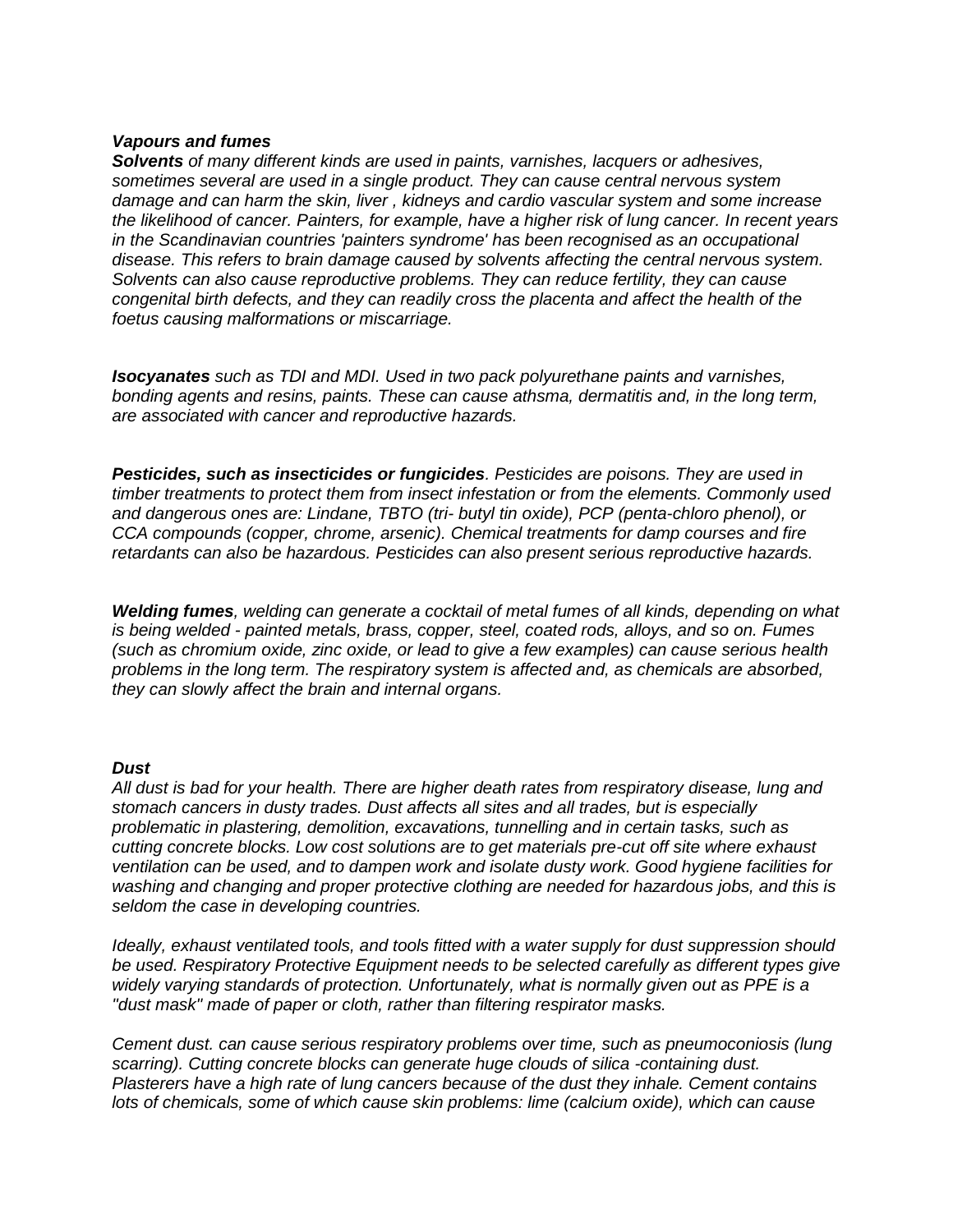#### *Vapours and fumes*

*Solvents of many different kinds are used in paints, varnishes, lacquers or adhesives, sometimes several are used in a single product. They can cause central nervous system damage and can harm the skin, liver , kidneys and cardio vascular system and some increase the likelihood of cancer. Painters, for example, have a higher risk of lung cancer. In recent years in the Scandinavian countries 'painters syndrome' has been recognised as an occupational disease. This refers to brain damage caused by solvents affecting the central nervous system. Solvents can also cause reproductive problems. They can reduce fertility, they can cause congenital birth defects, and they can readily cross the placenta and affect the health of the foetus causing malformations or miscarriage.* 

*Isocyanates such as TDI and MDI. Used in two pack polyurethane paints and varnishes, bonding agents and resins, paints. These can cause athsma, dermatitis and, in the long term, are associated with cancer and reproductive hazards.* 

*Pesticides, such as insecticides or fungicides. Pesticides are poisons. They are used in timber treatments to protect them from insect infestation or from the elements. Commonly used and dangerous ones are: Lindane, TBTO (tri- butyl tin oxide), PCP (penta-chloro phenol), or CCA compounds (copper, chrome, arsenic). Chemical treatments for damp courses and fire retardants can also be hazardous. Pesticides can also present serious reproductive hazards.* 

*Welding fumes, welding can generate a cocktail of metal fumes of all kinds, depending on what is being welded - painted metals, brass, copper, steel, coated rods, alloys, and so on. Fumes (such as chromium oxide, zinc oxide, or lead to give a few examples) can cause serious health problems in the long term. The respiratory system is affected and, as chemicals are absorbed, they can slowly affect the brain and internal organs.* 

#### *Dust*

*All dust is bad for your health. There are higher death rates from respiratory disease, lung and stomach cancers in dusty trades. Dust affects all sites and all trades, but is especially problematic in plastering, demolition, excavations, tunnelling and in certain tasks, such as cutting concrete blocks. Low cost solutions are to get materials pre-cut off site where exhaust ventilation can be used, and to dampen work and isolate dusty work. Good hygiene facilities for washing and changing and proper protective clothing are needed for hazardous jobs, and this is seldom the case in developing countries.* 

*Ideally, exhaust ventilated tools, and tools fitted with a water supply for dust suppression should be used. Respiratory Protective Equipment needs to be selected carefully as different types give widely varying standards of protection. Unfortunately, what is normally given out as PPE is a "dust mask" made of paper or cloth, rather than filtering respirator masks.* 

*Cement dust. can cause serious respiratory problems over time, such as pneumoconiosis (lung scarring). Cutting concrete blocks can generate huge clouds of silica -containing dust. Plasterers have a high rate of lung cancers because of the dust they inhale. Cement contains lots of chemicals, some of which cause skin problems: lime (calcium oxide), which can cause*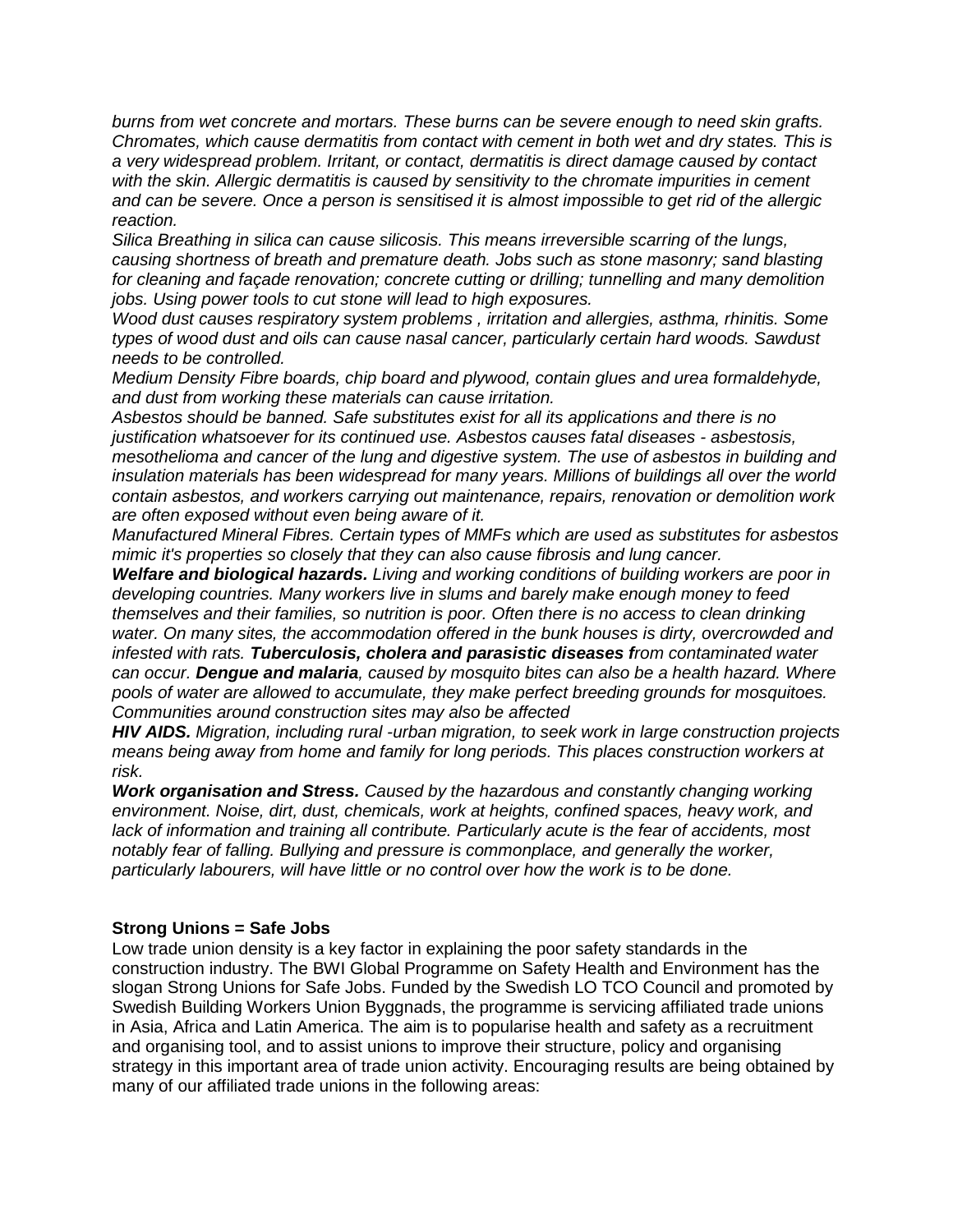*burns from wet concrete and mortars. These burns can be severe enough to need skin grafts. Chromates, which cause dermatitis from contact with cement in both wet and dry states. This is a very widespread problem. Irritant, or contact, dermatitis is direct damage caused by contact*  with the skin. Allergic dermatitis is caused by sensitivity to the chromate impurities in cement *and can be severe. Once a person is sensitised it is almost impossible to get rid of the allergic reaction.* 

*Silica Breathing in silica can cause silicosis. This means irreversible scarring of the lungs, causing shortness of breath and premature death. Jobs such as stone masonry; sand blasting for cleaning and façade renovation; concrete cutting or drilling; tunnelling and many demolition jobs. Using power tools to cut stone will lead to high exposures.* 

*Wood dust causes respiratory system problems , irritation and allergies, asthma, rhinitis. Some types of wood dust and oils can cause nasal cancer, particularly certain hard woods. Sawdust needs to be controlled.* 

*Medium Density Fibre boards, chip board and plywood, contain glues and urea formaldehyde, and dust from working these materials can cause irritation.* 

*Asbestos should be banned. Safe substitutes exist for all its applications and there is no justification whatsoever for its continued use. Asbestos causes fatal diseases - asbestosis, mesothelioma and cancer of the lung and digestive system. The use of asbestos in building and insulation materials has been widespread for many years. Millions of buildings all over the world contain asbestos, and workers carrying out maintenance, repairs, renovation or demolition work are often exposed without even being aware of it.* 

*Manufactured Mineral Fibres. Certain types of MMFs which are used as substitutes for asbestos mimic it's properties so closely that they can also cause fibrosis and lung cancer.* 

*Welfare and biological hazards. Living and working conditions of building workers are poor in developing countries. Many workers live in slums and barely make enough money to feed themselves and their families, so nutrition is poor. Often there is no access to clean drinking water. On many sites, the accommodation offered in the bunk houses is dirty, overcrowded and infested with rats. Tuberculosis, cholera and parasistic diseases from contaminated water can occur. Dengue and malaria, caused by mosquito bites can also be a health hazard. Where pools of water are allowed to accumulate, they make perfect breeding grounds for mosquitoes. Communities around construction sites may also be affected* 

*HIV AIDS. Migration, including rural -urban migration, to seek work in large construction projects means being away from home and family for long periods. This places construction workers at risk.* 

*Work organisation and Stress. Caused by the hazardous and constantly changing working environment. Noise, dirt, dust, chemicals, work at heights, confined spaces, heavy work, and lack of information and training all contribute. Particularly acute is the fear of accidents, most notably fear of falling. Bullying and pressure is commonplace, and generally the worker, particularly labourers, will have little or no control over how the work is to be done.* 

#### **Strong Unions = Safe Jobs**

Low trade union density is a key factor in explaining the poor safety standards in the construction industry. The BWI Global Programme on Safety Health and Environment has the slogan Strong Unions for Safe Jobs. Funded by the Swedish LO TCO Council and promoted by Swedish Building Workers Union Byggnads, the programme is servicing affiliated trade unions in Asia, Africa and Latin America. The aim is to popularise health and safety as a recruitment and organising tool, and to assist unions to improve their structure, policy and organising strategy in this important area of trade union activity. Encouraging results are being obtained by many of our affiliated trade unions in the following areas: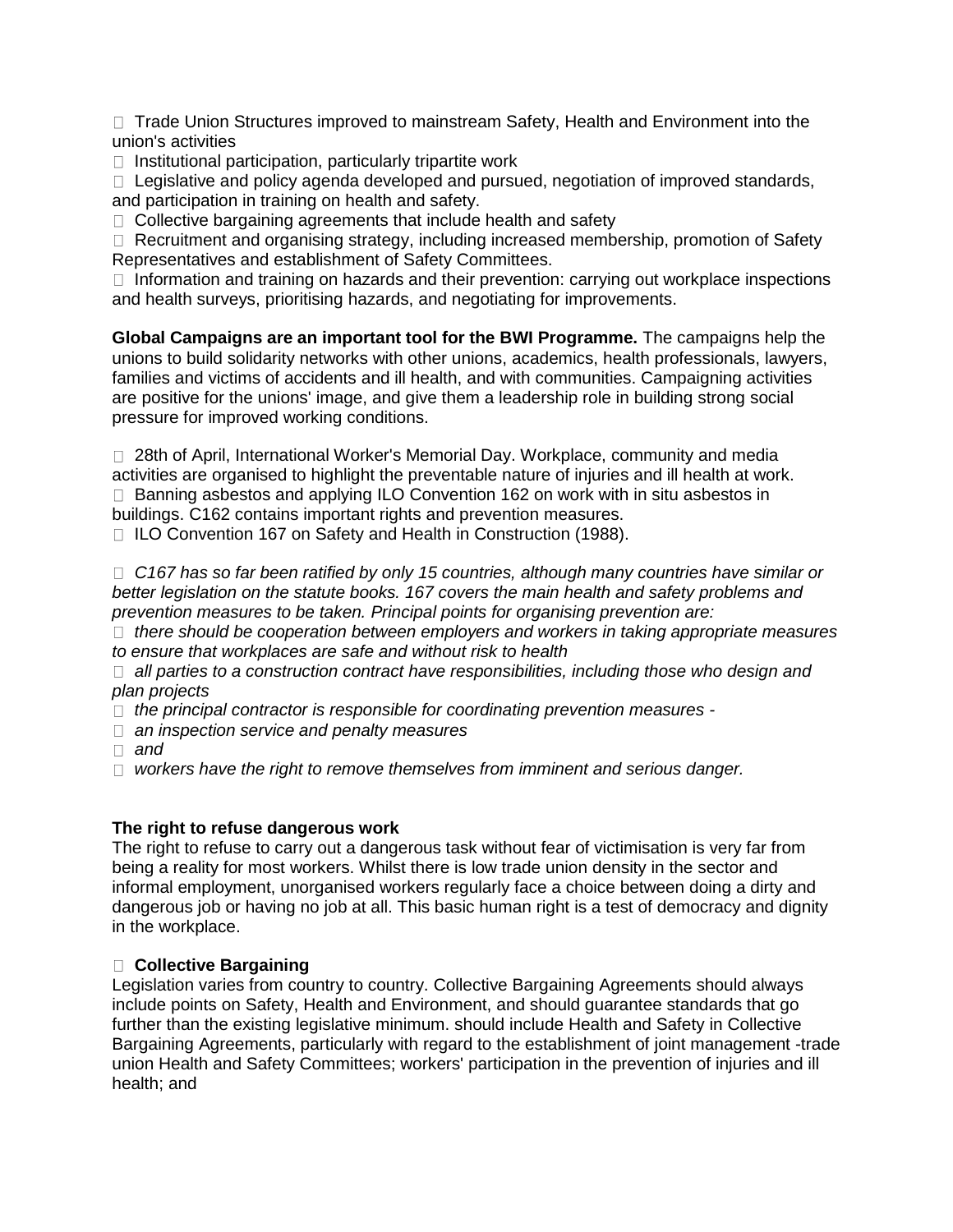□ Trade Union Structures improved to mainstream Safety, Health and Environment into the union's activities

 $\Box$  Institutional participation, particularly tripartite work

 $\Box$  Legislative and policy agenda developed and pursued, negotiation of improved standards, and participation in training on health and safety.

 $\Box$  Collective bargaining agreements that include health and safety

 $\Box$  Recruitment and organising strategy, including increased membership, promotion of Safety Representatives and establishment of Safety Committees.

 $\Box$  Information and training on hazards and their prevention: carrying out workplace inspections and health surveys, prioritising hazards, and negotiating for improvements.

**Global Campaigns are an important tool for the BWI Programme.** The campaigns help the unions to build solidarity networks with other unions, academics, health professionals, lawyers, families and victims of accidents and ill health, and with communities. Campaigning activities are positive for the unions' image, and give them a leadership role in building strong social pressure for improved working conditions.

 28th of April, International Worker's Memorial Day. Workplace, community and media activities are organised to highlight the preventable nature of injuries and ill health at work. □ Banning asbestos and applying ILO Convention 162 on work with in situ asbestos in buildings. C162 contains important rights and prevention measures.

□ ILO Convention 167 on Safety and Health in Construction (1988).

□ C167 has so far been ratified by only 15 countries, although many countries have similar or *better legislation on the statute books. 167 covers the main health and safety problems and prevention measures to be taken. Principal points for organising prevention are:* 

 *there should be cooperation between employers and workers in taking appropriate measures to ensure that workplaces are safe and without risk to health* 

 *all parties to a construction contract have responsibilities, including those who design and plan projects* 

*the principal contractor is responsible for coordinating prevention measures -*

- *an inspection service and penalty measures*
- *and*

□ workers have the right to remove themselves from imminent and serious danger.

#### **The right to refuse dangerous work**

The right to refuse to carry out a dangerous task without fear of victimisation is very far from being a reality for most workers. Whilst there is low trade union density in the sector and informal employment, unorganised workers regularly face a choice between doing a dirty and dangerous job or having no job at all. This basic human right is a test of democracy and dignity in the workplace.

#### **Collective Bargaining**

Legislation varies from country to country. Collective Bargaining Agreements should always include points on Safety, Health and Environment, and should guarantee standards that go further than the existing legislative minimum. should include Health and Safety in Collective Bargaining Agreements, particularly with regard to the establishment of joint management -trade union Health and Safety Committees; workers' participation in the prevention of injuries and ill health; and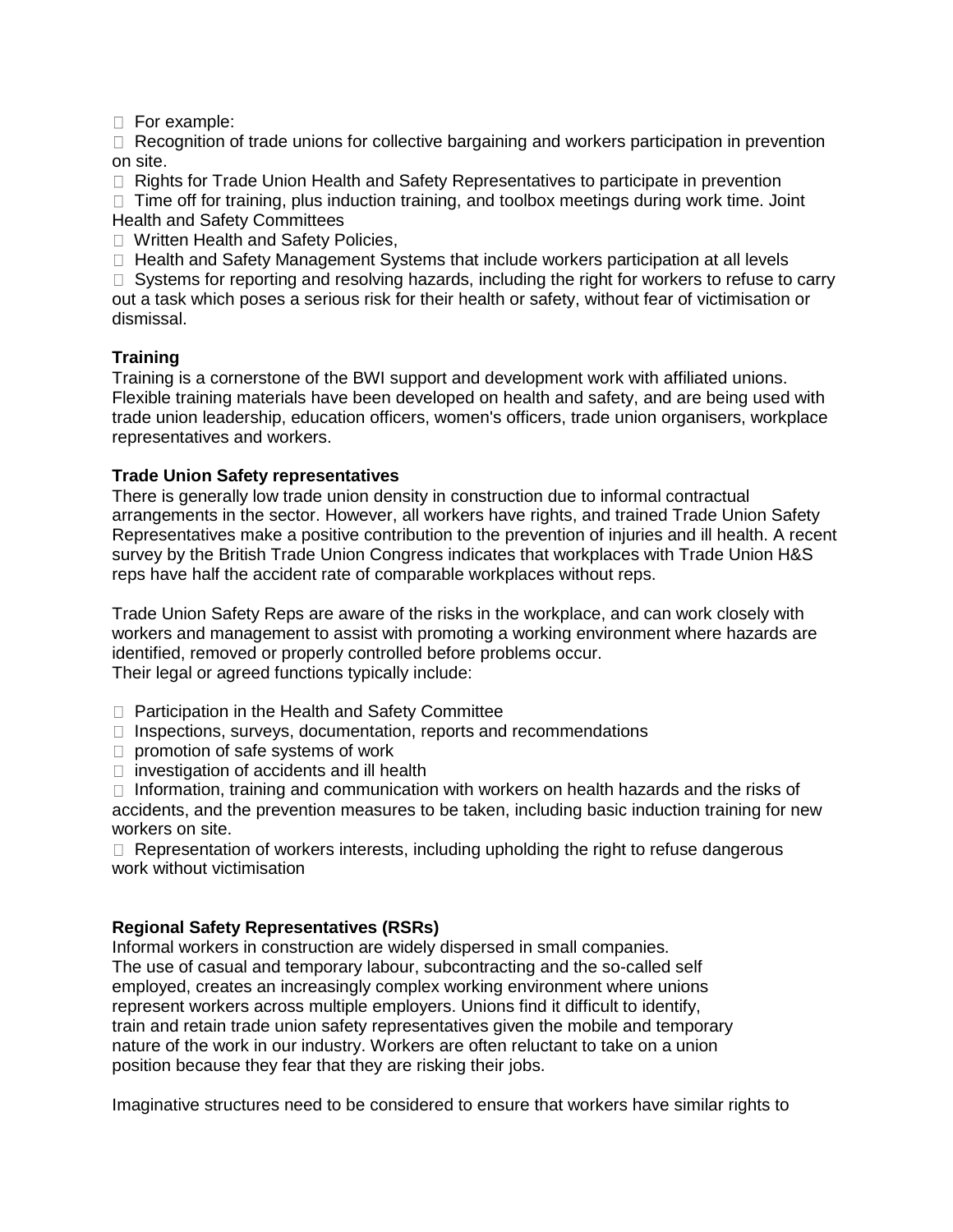□ For example:

 $\Box$  Recognition of trade unions for collective bargaining and workers participation in prevention on site.

 $\Box$  Rights for Trade Union Health and Safety Representatives to participate in prevention

 $\Box$  Time off for training, plus induction training, and toolbox meetings during work time. Joint Health and Safety Committees

□ Written Health and Safety Policies,

 $\Box$  Health and Safety Management Systems that include workers participation at all levels

 $\Box$  Systems for reporting and resolving hazards, including the right for workers to refuse to carry out a task which poses a serious risk for their health or safety, without fear of victimisation or dismissal.

## **Training**

Training is a cornerstone of the BWI support and development work with affiliated unions. Flexible training materials have been developed on health and safety, and are being used with trade union leadership, education officers, women's officers, trade union organisers, workplace representatives and workers.

## **Trade Union Safety representatives**

There is generally low trade union density in construction due to informal contractual arrangements in the sector. However, all workers have rights, and trained Trade Union Safety Representatives make a positive contribution to the prevention of injuries and ill health. A recent survey by the British Trade Union Congress indicates that workplaces with Trade Union H&S reps have half the accident rate of comparable workplaces without reps.

Trade Union Safety Reps are aware of the risks in the workplace, and can work closely with workers and management to assist with promoting a working environment where hazards are identified, removed or properly controlled before problems occur. Their legal or agreed functions typically include:

- $\Box$  Participation in the Health and Safety Committee
- $\Box$  Inspections, surveys, documentation, reports and recommendations
- $\Box$  promotion of safe systems of work
- $\Box$  investigation of accidents and ill health

 $\Box$  Information, training and communication with workers on health hazards and the risks of accidents, and the prevention measures to be taken, including basic induction training for new workers on site.

 $\Box$  Representation of workers interests, including upholding the right to refuse dangerous work without victimisation

## **Regional Safety Representatives (RSRs)**

Informal workers in construction are widely dispersed in small companies. The use of casual and temporary labour, subcontracting and the so-called self employed, creates an increasingly complex working environment where unions represent workers across multiple employers. Unions find it difficult to identify, train and retain trade union safety representatives given the mobile and temporary nature of the work in our industry. Workers are often reluctant to take on a union position because they fear that they are risking their jobs.

Imaginative structures need to be considered to ensure that workers have similar rights to